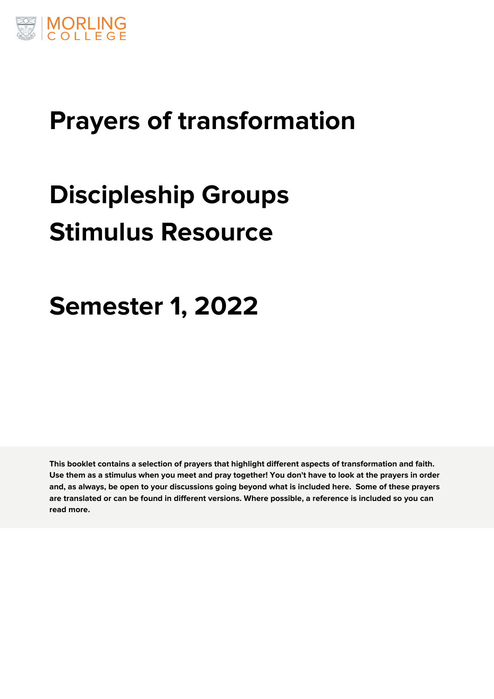**This booklet contains a selection of prayers that highlight different aspects of transformation and faith. Use them as a stimulus when you meet and pray together! You don't have to look at the prayers in order and, as always, be open to your discussions going beyond what is included here. Some of these prayers are translated or can be found in different versions. Where possible, a reference is included so you can read more.**



# **Prayers of transformation**

# **Discipleship Groups Stimulus Resource**

# **Semester 1, 2022**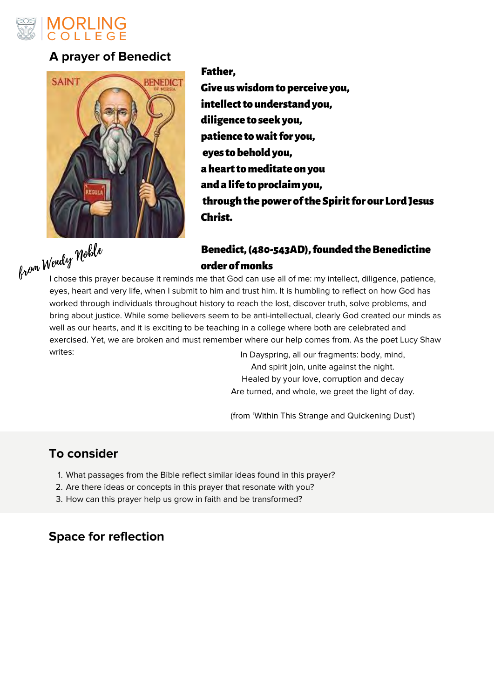

# **A prayer of Benedict**



Father, Give us wisdom to perceive you, intellect to understand you, diligence to seek you, patience to wait for you, eyes to behold you, a heart to meditate on you and a life to proclaim you, through the power of the Spirit for our Lord Jesus Christ.

- What passages from the Bible reflect similar ideas found in this prayer? 1.
- Are there ideas or concepts in this prayer that resonate with you? 2.
- 3. How can this prayer help us grow in faith and be transformed?

# Benedict, (480-543AD), founded the Benedictine order of monks

#### **To consider**

#### **Space for reflection**

I chose this prayer because it reminds me that God can use all of me: my intellect, diligence, patience, eyes, heart and very life, when I submit to him and trust him. It is humbling to reflect on how God has worked through individuals throughout history to reach the lost, discover truth, solve problems, and bring about justice. While some believers seem to be anti-intellectual, clearly God created our minds as well as our hearts, and it is exciting to be teaching in a college where both are celebrated and exercised. Yet, we are broken and must remember where our help comes from. As the poet Lucy Shaw writes: writes: writes: In Dayspring, all our fragments: body, mind, from Wendy Noble

And spirit join, unite against the night.

Healed by your love, corruption and decay Are turned, and whole, we greet the light of day.

(from 'Within This Strange and Quickening Dust')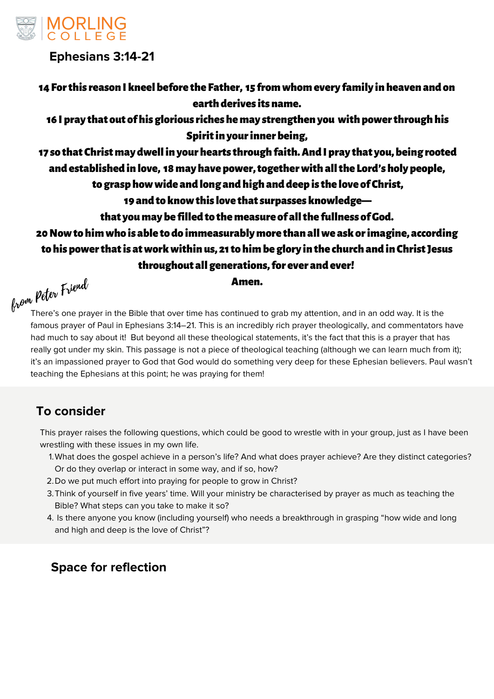

# **Ephesians 3:14-21**

14 For this reason I kneel before the Father, 15 from whom every family in heaven and on earth derives its name.

16 I pray that out of his glorious riches he may strengthen you with power through his Spirit in your inner being,

17 so that Christ may dwell in your hearts through faith. And I pray that you, being rooted and established in love, 18 may have power, together with all the Lord's holy people,

to grasp how wide and long and high and deep is the love of Christ,

19 and to know this love that surpasses knowledge—

that you may be filled to the measure of all the fullness of God.

20 Now to him who is able to do immeasurably more than all we ask or imagine, according to his power that is at work within us, 21 to him be glory in the church and in Christ Jesus throughout all generations, for ever and ever!

Amen.

#### **To consider**

#### **Space for reflection**

There's one prayer in the Bible that over time has continued to grab my attention, and in an odd way. It is the famous prayer of Paul in Ephesians 3:14–21. This is an incredibly rich prayer theologically, and commentators have had much to say about it! But beyond all these theological statements, it's the fact that this is a prayer that has really got under my skin. This passage is not a piece of theological teaching (although we can learn much from it); it's an impassioned prayer to God that God would do something very deep for these Ephesian believers. Paul wasn't from Peter Friend

- What does the gospel achieve in a person's life? And what does prayer achieve? Are they distinct categories? 1. Or do they overlap or interact in some way, and if so, how?
- 2. Do we put much effort into praying for people to grow in Christ?
- Think of yourself in five years' time. Will your ministry be characterised by prayer as much as teaching the 3. Bible? What steps can you take to make it so?
- 4. Is there anyone you know (including yourself) who needs a breakthrough in grasping "how wide and long and high and deep is the love of Christ"?

This prayer raises the following questions, which could be good to wrestle with in your group, just as I have been wrestling with these issues in my own life.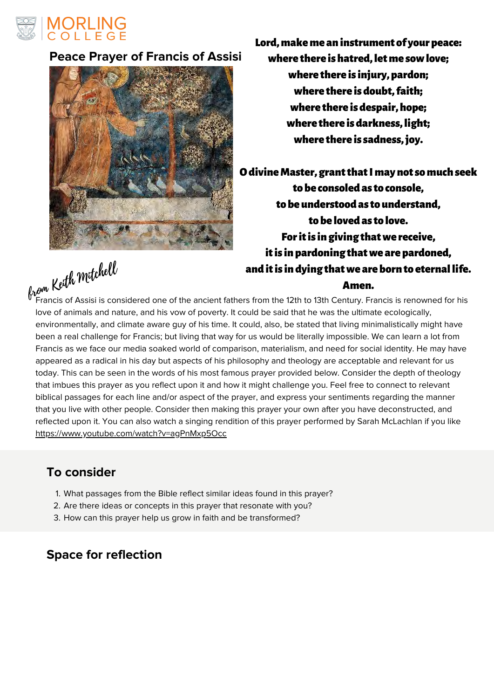- What passages from the Bible reflect similar ideas found in this prayer? 1.
- 2. Are there ideas or concepts in this prayer that resonate with you?
- 3. How can this prayer help us grow in faith and be transformed?

#### **Space for reflection**



### **Peace Prayer of Francis of Assisi**



Lord, make me an instrument of your peace: where there is hatred, let me sow love; where there is injury, pardon; where there is doubt, faith; where there is despair, hope; where there is darkness, light; where there is sadness, joy.

O divine Master, grant that I may not so much seek to be consoled as to console, to be understood as to understand, to be loved as to love. For it is in giving that we receive, it is in pardoning that we are pardoned, and it is in dying that we are born to eternal life. Amen.

Francis of Assisi is considered one of the ancient fathers from the 12th to 13th Century. Francis is renowned for his love of animals and nature, and his vow of poverty. It could be said that he was the ultimate ecologically, environmentally, and climate aware guy of his time. It could, also, be stated that living minimalistically might have been a real challenge for Francis; but living that way for us would be literally impossible. We can learn a lot from Francis as we face our media soaked world of comparison, materialism, and need for social identity. He may have appeared as a radical in his day but aspects of his philosophy and theology are acceptable and relevant for us today. This can be seen in the words of his most famous prayer provided below. Consider the depth of theology that imbues this prayer as you reflect upon it and how it might challenge you. Feel free to connect to relevant biblical passages for each line and/or aspect of the prayer, and express your sentiments regarding the manner that you live with other people. Consider then making this prayer your own after you have deconstructed, and reflected upon it. You can also watch a singing rendition of this prayer performed by Sarah McLachlan if you like <https://www.youtube.com/watch?v=agPnMxp5Occ> from Keith Mitchell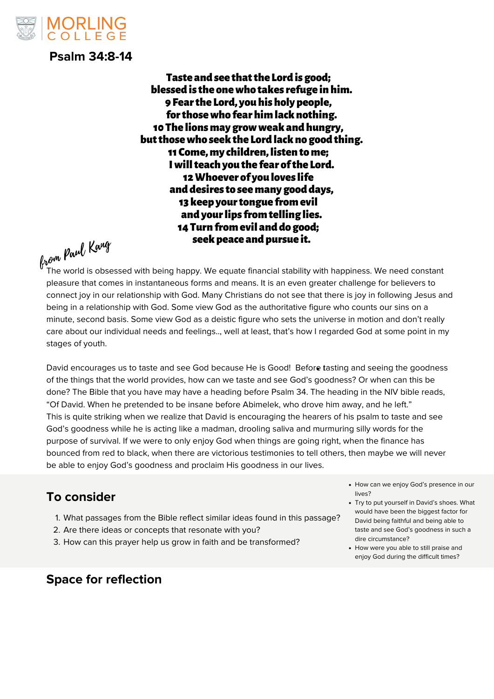

**Psalm 34:8-14**

Taste and see that the Lord is good; blessed is the one who takes refuge in him. 9 Fear the Lord, you his holy people, for those who fear him lack nothing. 10 The lions may grow weak and hungry, but those who seek the Lord lack no good thing. 11 Come, my children, listen to me; I will teach you the fear of the Lord. 12 Whoever of you loves life and desires to see many good days, 13 keep your tongue from evil and your lips from telling lies. 14 Turn from evil and do good; seek peace and pursue it.

- What passages from the Bible reflect similar ideas found in this passage? 1.
- 2. Are there ideas or concepts that resonate with you?
- 3. How can this prayer help us grow in faith and be transformed?

# **To consider**

# **Space for reflection**

The world is obsessed with being happy. We equate financial stability with happiness. We need constant pleasure that comes in instantaneous forms and means. It is an even greater challenge for believers to connect joy in our relationship with God. Many Christians do not see that there is joy in following Jesus and being in a relationship with God. Some view God as the authoritative figure who counts our sins on a minute, second basis. Some view God as a deistic figure who sets the universe in motion and don't really care about our individual needs and feelings.., well at least, that's how I regarded God at some point in my stages of youth.

David encourages us to taste and see God because He is Good! Before tasting and seeing the goodness

- How can we enjoy God's presence in our lives?
- Try to put yourself in David's shoes. What would have been the biggest factor for David being faithful and being able to taste and see God's goodness in such a dire circumstance?
- How were you able to still praise and enjoy God during the difficult times?

of the things that the world provides, how can we taste and see God's goodness? Or when can this be done? The Bible that you have may have a heading before Psalm 34. The heading in the NIV bible reads, "Of David. When he pretended to be insane before Abimelek, who drove him away, and he left." This is quite striking when we realize that David is encouraging the hearers of his psalm to taste and see God's goodness while he is acting like a madman, drooling saliva and murmuring silly words for the purpose of survival. If we were to only enjoy God when things are going right, when the finance has bounced from red to black, when there are victorious testimonies to tell others, then maybe we will never be able to enjoy God's goodness and proclaim His goodness in our lives.

from Paul Kang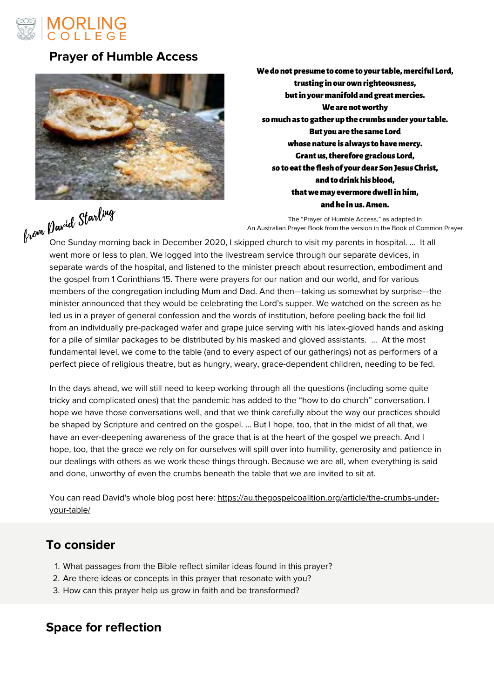- What passages from the Bible reflect similar ideas found in this prayer? 1.
- 2. Are there ideas or concepts in this prayer that resonate with you?
- 3. How can this prayer help us grow in faith and be transformed?

#### **Space for reflection**

We do not presume to come to your table, merciful Lord, trusting in our own righteousness, but in your manifold and great mercies. We are not worthy so much as to gather up the crumbs under your table. But you are the same Lord whose nature is always to have mercy. Grant us, therefore gracious Lord, so to eat the flesh of your dear Son Jesus Christ, and to drink his blood, that we may evermore dwell in him, and he in us. Amen.

One Sunday morning back in December 2020, I skipped church to visit my parents in hospital. ... It all went more or less to plan. We logged into the livestream service through our separate devices, in separate wards of the hospital, and listened to the minister preach about resurrection, embodiment and the gospel from [1 Corinthians 15](https://www.esv.org/1%20Corinthians%2015/). There were prayers for our nation and our world, and for various members of the congregation including Mum and Dad. And then—taking us somewhat by surprise—the minister announced that they would be celebrating the Lord's supper. We watched on the screen as he led us in a prayer of general confession and the words of institution, before peeling back the foil lid from an individually pre-packaged wafer and grape juice serving with his latex-gloved hands and asking for a pile of similar packages to be distributed by his masked and gloved assistants. ... At the most fundamental level, we come to the table (and to every aspect of our gatherings) not as performers of a perfect piece of religious theatre, but as hungry, weary, grace-dependent children, needing to be fed.

You can read David's whole blog post here: [https://au.thegospelcoalition.org/article/the-crumbs-under](https://au.thegospelcoalition.org/article/the-crumbs-under-your-table/)[your-table/](https://au.thegospelcoalition.org/article/the-crumbs-under-your-table/)

In the days ahead, we will still need to keep working through all the questions (including some quite tricky and complicated ones) that the pandemic has added to the "how to do church" conversation. I hope we have those conversations well, and that we think carefully about the way our practices should be shaped by Scripture and centred on the gospel. ... But I hope, too, that in the midst of all that, we have an ever-deepening awareness of the grace that is at the heart of the gospel we preach. And I hope, too, that the grace we rely on for ourselves will spill over into humility, generosity and patience in our dealings with others as we work these things through. Because we are all, when everything is said and done, unworthy of even the crumbs beneath the table that we are invited to sit at.



#### **Prayer of Humble Access**



The "Prayer of Humble Access," as adapted in An Australian Prayer Book from the version in the Book of Common Prayer.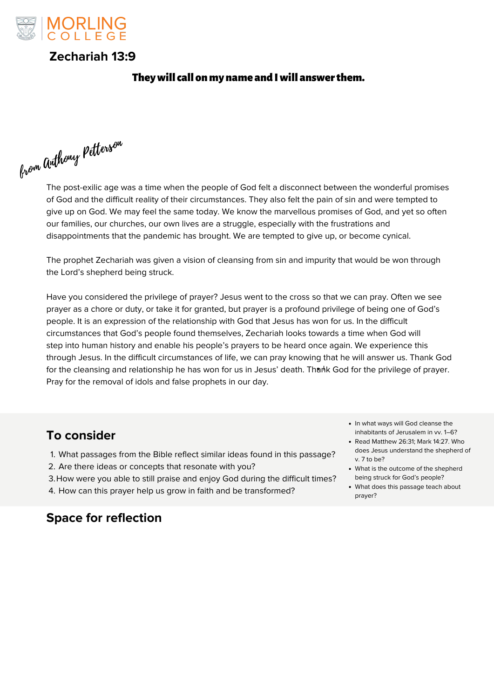

#### **Zechariah 13:9**

#### They will call on my name and I will answer them.

- What passages from the Bible reflect similar ideas found in this passage? 1.
- 2. Are there ideas or concepts that resonate with you?
- 3. How were you able to still praise and enjoy God during the difficult times?
- 4. How can this prayer help us grow in faith and be transformed?

# **To consider**

# **Space for reflection**

Have you considered the privilege of prayer? Jesus went to the cross so that we can pray. Often we see prayer as a chore or duty, or take it for granted, but prayer is a profound privilege of being one of God's people. It is an expression of the relationship with God that Jesus has won for us. In the difficult circumstances that God's people found themselves, Zechariah looks towards a time when God will step into human history and enable his people's prayers to be heard once again. We experience this through Jesus. In the difficult circumstances of life, we can pray knowing that he will answer us. Thank God for the cleansing and relationship he has won for us in Jesus' death. Thank God for the privilege of prayer.

The post-exilic age was a time when the people of God felt a disconnect between the wonderful promises of God and the difficult reality of their circumstances. They also felt the pain of sin and were tempted to give up on God. We may feel the same today. We know the marvellous promises of God, and yet so often our families, our churches, our own lives are a struggle, especially with the frustrations and disappointments that the pandemic has brought. We are tempted to give up, or become cynical.

The prophet Zechariah was given a vision of cleansing from sin and impurity that would be won through the Lord's shepherd being struck.

- In what ways will God cleanse the inhabitants of Jerusalem in vv. 1–6?
- Read Matthew 26:31; Mark 14:27. Who does Jesus understand the shepherd of v. 7 to be?
- What is the outcome of the shepherd being struck for God's people?
- What does this passage teach about prayer?

Pray for the removal of idols and false prophets in our day.

from Anthony Petterson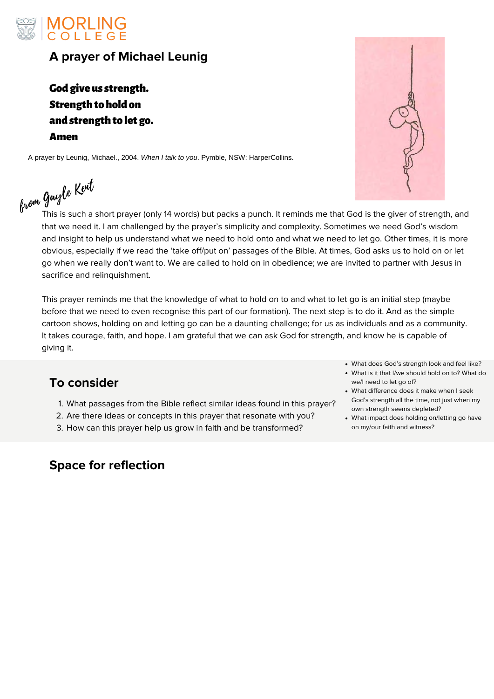- What passages from the Bible reflect similar ideas found in this prayer? 1.
- 2. Are there ideas or concepts in this prayer that resonate with you?
- 3. How can this prayer help us grow in faith and be transformed?

# **Space for reflection**



# **A prayer of Michael Leunig**

God give us strength. Strength to hold on and strength to let go. Amen

This is such a short prayer (only 14 words) but packs a punch. It reminds me that God is the giver of strength, and that we need it. I am challenged by the prayer's simplicity and complexity. Sometimes we need God's wisdom and insight to help us understand what we need to hold onto and what we need to let go. Other times, it is more obvious, especially if we read the 'take off/put on' passages of the Bible. At times, God asks us to hold on or let go when we really don't want to. We are called to hold on in obedience; we are invited to partner with Jesus in sacrifice and relinquishment.

This prayer reminds me that the knowledge of what to hold on to and what to let go is an initial step (maybe before that we need to even recognise this part of our formation). The next step is to do it. And as the simple cartoon shows, holding on and letting go can be a daunting challenge; for us as individuals and as a community. It takes courage, faith, and hope. I am grateful that we can ask God for strength, and know he is capable of giving it.

A prayer by Leunig, Michael., 2004. *When I talk to you*. Pymble, NSW: HarperCollins.



What does God's strength look and feel like?

What is it that I/we should hold on to? What do

- we/I need to let go of?
- What difference does it make when I seek God's strength all the time, not just when my own strength seems depleted?
- What impact does holding on/letting go have on my/our faith and witness?

from Gayle Kent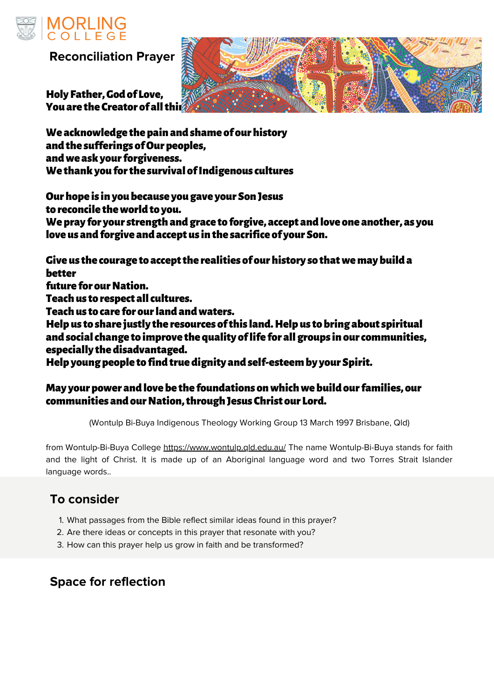- What passages from the Bible reflect similar ideas found in this prayer? 1.
- 2. Are there ideas or concepts in this prayer that resonate with you?
- 3. How can this prayer help us grow in faith and be transformed?

#### **Space for reflection**

Holy Father, God of Love, You are the Creator of all thi



We acknowledge the pain and shame of our history and the sufferings of Our peoples, and we ask your forgiveness. We thank you for the survival of Indigenous cultures

Our hope is in you because you gave your Son Jesus

to reconcile the world to you.

We pray for your strength and grace to forgive, accept and love one another, as you love us and forgive and accept us in the sacrifice of your Son.

Give us the courage to accept the realities of our history so that we may build a better

future for our Nation.

from Wontulp-Bi-Buya College <https://www.wontulp.qld.edu.au/> The name Wontulp-Bi-Buya stands for faith and the light of Christ. It is made up of an Aboriginal language word and two Torres Strait Islander language words..

Teach us to respect all cultures.

Teach us to care for our land and waters.

Help us to share justly the resources of this land. Help us to bring about spiritual and social change to improve the quality of life for all groups in our communities, especially the disadvantaged.

Help young people to find true dignity and self-esteem by your Spirit.

#### May your power and love be the foundations on which we build our families, our communities and our Nation, through Jesus Christ our Lord.



**Reconciliation Prayer**

(Wontulp Bi-Buya Indigenous Theology Working Group 13 March 1997 Brisbane, Qld)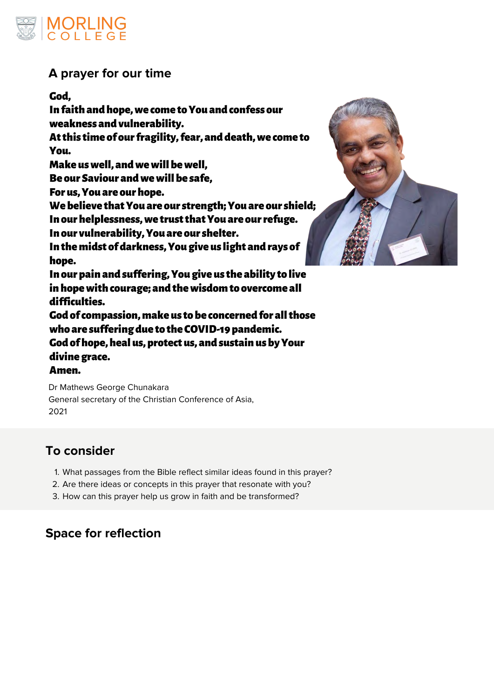- What passages from the Bible reflect similar ideas found in this prayer? 1.
- 2. Are there ideas or concepts in this prayer that resonate with you?
- 3. How can this prayer help us grow in faith and be transformed?

## **Space for reflection**

God,

In faith and hope, we come to You and confess our weakness and vulnerability.

At this time of our fragility, fear, and death, we come to You.

Make us well, and we will be well,

Be our Saviour and we will be safe,

For us, You are our hope.

We believe that You are our strength; You are our shield; In our helplessness, we trust that You are our refuge. In our vulnerability, You are our shelter.

In the midst of darkness, You give us light and rays of hope.

In our pain and suffering, You give us the ability to live in hope with courage; and the wisdom to overcome all difficulties.

God of compassion, make us to be concerned for all those who are suffering due to the COVID-19 pandemic.

God of hope, heal us, protect us, and sustain us by Your divine grace.

Amen.



Dr Mathews George Chunakara General secretary of the Christian Conference of Asia, 2021



**A prayer for our time**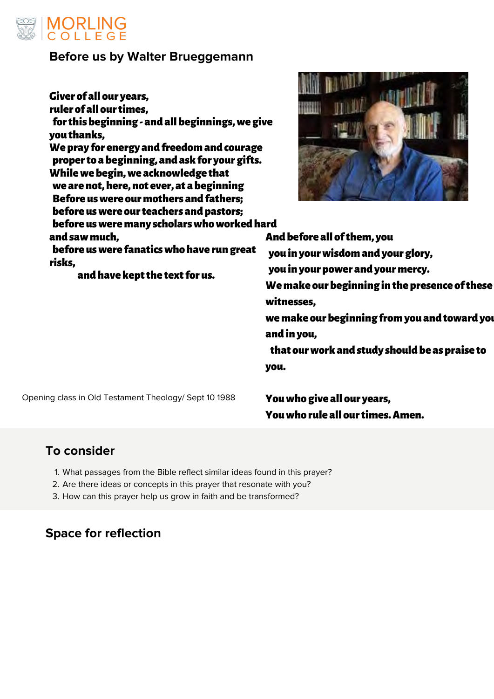- What passages from the Bible reflect similar ideas found in this prayer? 1.
- 2. Are there ideas or concepts in this prayer that resonate with you?
- 3. How can this prayer help us grow in faith and be transformed?

## **Space for reflection**



**Before us by Walter Brueggemann**

Giver of all our years, ruler of all our times,

 for this beginning - and all beginnings, we give you thanks,

We pray for energy and freedom and courage proper to a beginning, and ask for your gifts. While we begin, we acknowledge that we are not, here, not ever, at a beginning Before us were our mothers and fathers; before us were our teachers and pastors;

 before us were many scholars who worked hard and saw much,

 before us were fanatics who have run great risks,

and have kept the text for us.



And before all of them, you you in your wisdom and your glory, you in your power and your mercy. We make our beginning in the presence of these witnesses, we make our beginning from you and toward you and in you, that our work and study should be as praise to

you.

#### You who give all our years, You who rule all our times. Amen.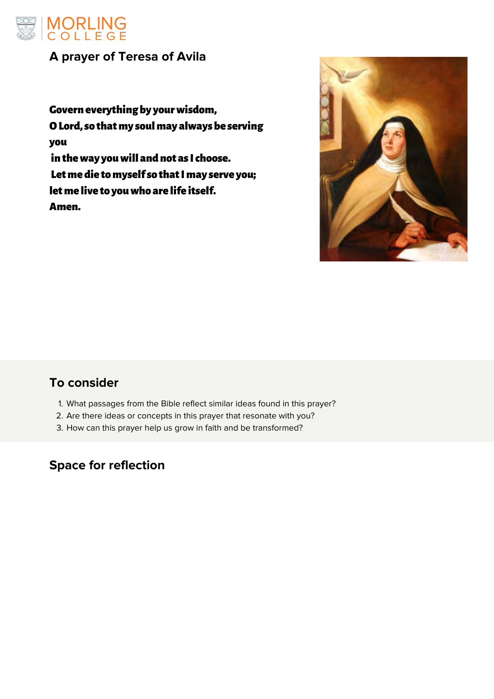

# **A prayer of Teresa of Avila**

Govern everything by your wisdom,

O Lord, so that my soul may always be serving

you

in the way you will and not as I choose.

- What passages from the Bible reflect similar ideas found in this prayer? 1.
- 2. Are there ideas or concepts in this prayer that resonate with you?
- 3. How can this prayer help us grow in faith and be transformed?

Let me die to myself so that I may serve you;

let me live to you who are life itself.

Amen.



# **To consider**

# **Space for reflection**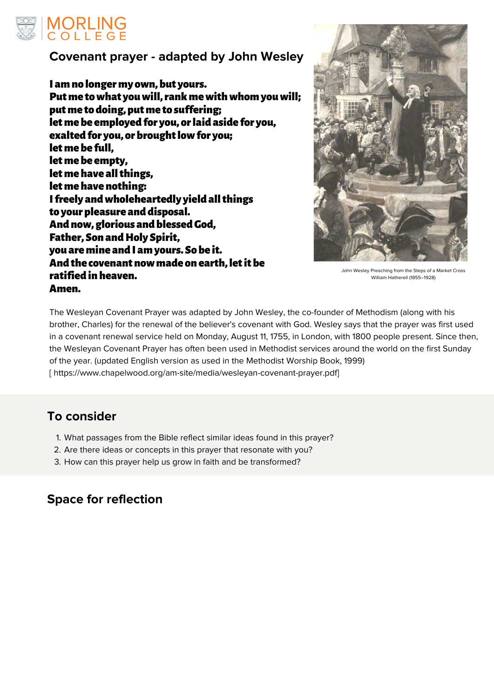- What passages from the Bible reflect similar ideas found in this prayer? 1.
- 2. Are there ideas or concepts in this prayer that resonate with you?
- 3. How can this prayer help us grow in faith and be transformed?

#### **Space for reflection**



**Covenant prayer - adapted by John Wesley**

I am no longer my own, but yours. Put me to what you will, rank me with whom you will; put me to doing, put me to suffering; let me be employed for you, or laid aside for you, exalted for you, or brought low for you; let me be full, let me be empty, let me have all things, let me have nothing: I freely and wholeheartedly yield all things to your pleasure and disposal. And now, glorious and blessed God, Father, Son and Holy Spirit, you are mine and I am yours. So be it. And the covenant now made on earth, let it be ratified in heaven. Amen.

The Wesleyan Covenant Prayer was adapted by John Wesley, the co-founder of Methodism (along with his brother, Charles) for the renewal of the believer's covenant with God. Wesley says that the prayer was first used in a covenant renewal service held on Monday, August 11, 1755, in London, with 1800 people present. Since then, the Wesleyan Covenant Prayer has often been used in Methodist services around the world on the first Sunday of the year. (updated English version as used in the Methodist Worship Book, 1999)

[ https://www.chapelwood.org/am-site/media/wesleyan-covenant-prayer.pdf]



John Wesley Preaching from the Steps of a Market Cross William Hatherell (1855–1928)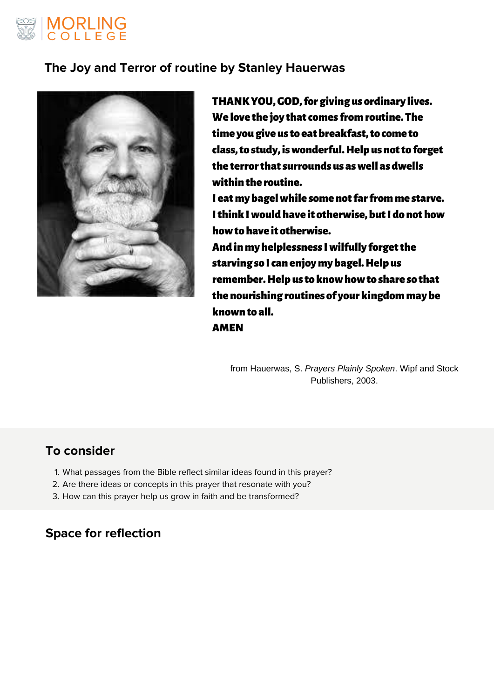- What passages from the Bible reflect similar ideas found in this prayer? 1.
- 2. Are there ideas or concepts in this prayer that resonate with you?
- 3. How can this prayer help us grow in faith and be transformed?

#### **Space for reflection**



#### **The Joy and Terror of routine by Stanley Hauerwas**



THANK YOU, GOD, for giving us ordinary lives. We love the joy that comes from routine. The time you give us to eat breakfast, to come to class, to study, is wonderful. Help us not to forget the terror that surrounds us as well as dwells within the routine.

I eat my bagel while some not far from me starve. I think I would have it otherwise, but I do not how how to have it otherwise.

And in my helplessness I wilfully forget the starving so I can enjoy my bagel. Help us remember. Help us to know how to share so that the nourishing routines of your kingdom may be known to all. AMEN

Publishers, 2003.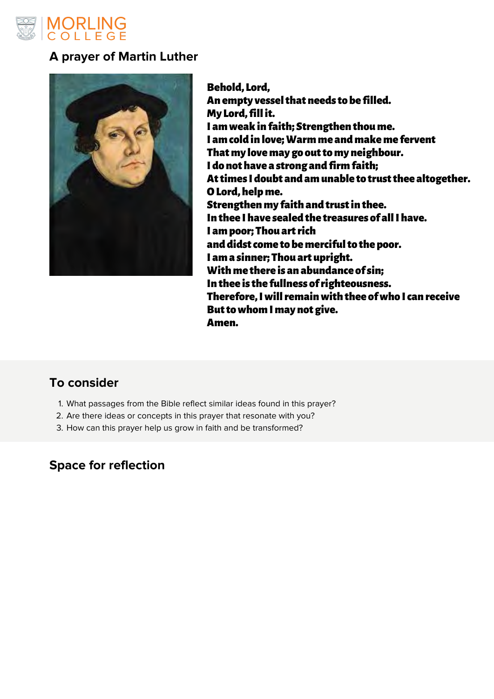- What passages from the Bible reflect similar ideas found in this prayer? 1.
- 2. Are there ideas or concepts in this prayer that resonate with you?
- 3. How can this prayer help us grow in faith and be transformed?

# **Space for reflection**



# **A prayer of Martin Luther**



Behold, Lord, An empty vessel that needs to be filled. My Lord, fill it. I am weak in faith; Strengthen thou me. I am cold in love; Warm me and make me fervent That my love may go out to my neighbour. I do not have a strong and firm faith; At times I doubt and am unable to trust thee altogether. O Lord, help me. Strengthen my faith and trust in thee. In thee I have sealed the treasures of all I have. I am poor; Thou art rich and didst come to be merciful to the poor. I am a sinner; Thou art upright. With me there is an abundance of sin; In thee is the fullness of righteousness. Therefore, I will remain with thee of who I can receive But to whom I may not give. Amen.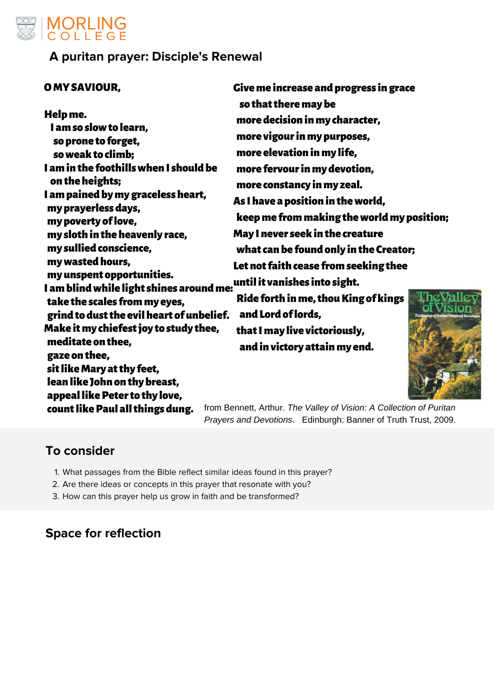- What passages from the Bible reflect similar ideas found in this prayer? 1.
- 2. Are there ideas or concepts in this prayer that resonate with you?
- 3. How can this prayer help us grow in faith and be transformed?

# **Space for reflection**



**A puritan prayer: Disciple's Renewal**

#### O MY SAVIOUR,

Help me. I am so slow to learn, so prone to forget, so weak to climb; I am in the foothills when I should be on the heights; I am pained by my graceless heart, my prayerless days, my poverty of love, my sloth in the heavenly race, my sullied conscience, my wasted hours, my unspent opportunities. I am blind while light shines around me: take the scales from my eyes, grind to dust the evil heart of unbelief. Make it my chiefest joy to study thee, meditate on thee, gaze on thee, sit like Mary at thy feet,

#### lean like John on thy breast, appeal like Peter to thy love, count like Paul all things dung.

Give me increase and progress in grace so that there may be more decision in my character, more vigour in my purposes, more elevation in my life, more fervour in my devotion, more constancy in my zeal. As I have a position in the world, keep me from making the world my position; May I never seek in the creature what can be found only in the Creator; Let not faith cease from seeking thee until it vanishes into sight. Ride forth in me, thou King of kings

 and Lord of lords, that I may live victoriously,

and in victory attain my end.



from Bennett, Arthur. *The Valley of Vision: A Collection of Puritan Prayers and Devotions*. Edinburgh: Banner of Truth Trust, 2009.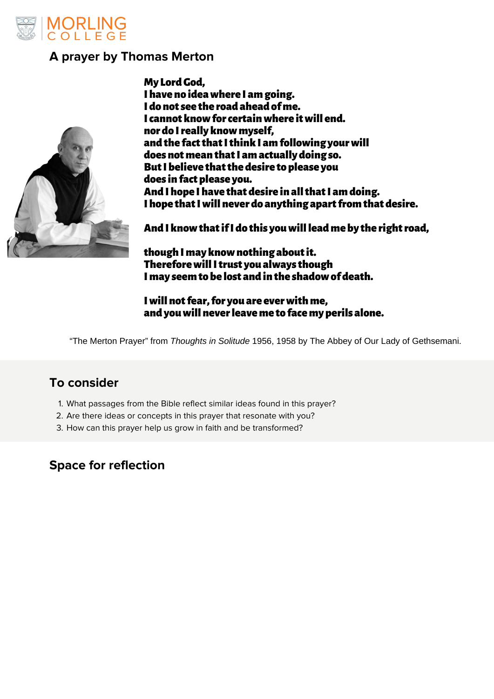

# **A prayer by Thomas Merton**



My Lord God, I have no idea where I am going. I do not see the road ahead of me. I cannot know for certain where it will end. nor do I really know myself, and the fact that I think I am following your will does not mean that I am actually doing so. But I believe that the desire to please you does in fact please you. And I hope I have that desire in all that I am doing. I hope that I will never do anything apart from that desire.

- What passages from the Bible reflect similar ideas found in this prayer? 1.
- 2. Are there ideas or concepts in this prayer that resonate with you?
- 3. How can this prayer help us grow in faith and be transformed?

And I know that if I do this you will lead me by the right road,

though I may know nothing about it. Therefore will I trust you always though I may seem to be lost and in the shadow of death.

I will not fear, for you are ever with me, and you will never leave me to face my perils alone.

"The Merton Prayer" from *[Thoughts in Solitude](https://us.macmillan.com/books/9780374513252)* 1956, 1958 by The Abbey of Our Lady of Gethsemani.

# **To consider**

# **Space for reflection**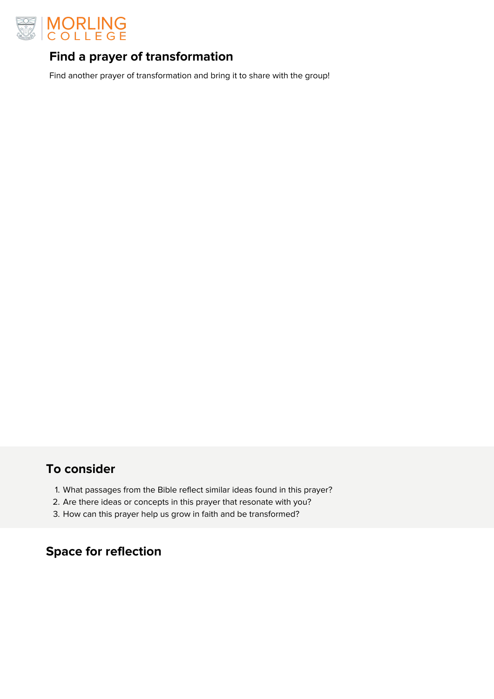- What passages from the Bible reflect similar ideas found in this prayer? 1.
- 2. Are there ideas or concepts in this prayer that resonate with you?
- 3. How can this prayer help us grow in faith and be transformed?

#### **Space for reflection**



# **Find a prayer of transformation**

Find another prayer of transformation and bring it to share with the group!